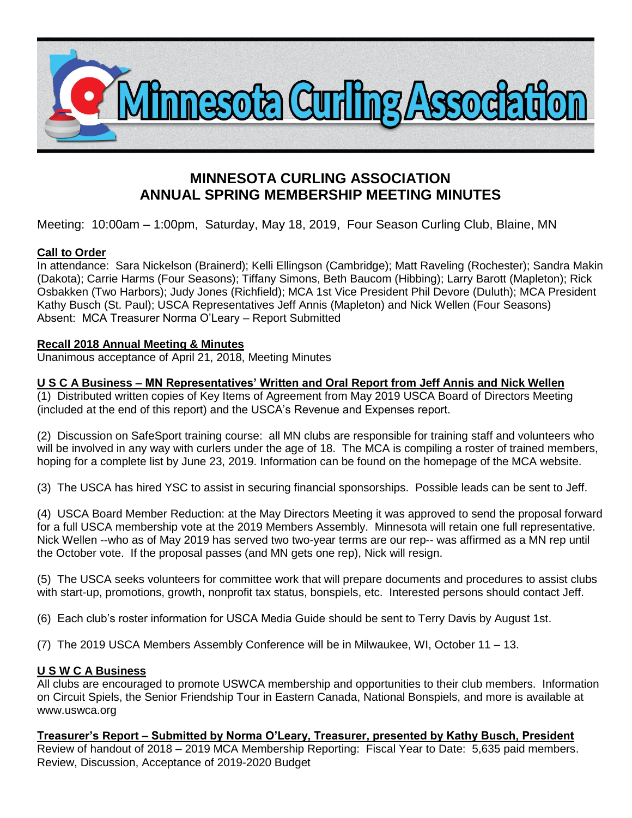

# **MINNESOTA CURLING ASSOCIATION ANNUAL SPRING MEMBERSHIP MEETING MINUTES**

Meeting: 10:00am – 1:00pm, Saturday, May 18, 2019, Four Season Curling Club, Blaine, MN

# **Call to Order**

In attendance: Sara Nickelson (Brainerd); Kelli Ellingson (Cambridge); Matt Raveling (Rochester); Sandra Makin (Dakota); Carrie Harms (Four Seasons); Tiffany Simons, Beth Baucom (Hibbing); Larry Barott (Mapleton); Rick Osbakken (Two Harbors); Judy Jones (Richfield); MCA 1st Vice President Phil Devore (Duluth); MCA President Kathy Busch (St. Paul); USCA Representatives Jeff Annis (Mapleton) and Nick Wellen (Four Seasons) Absent: MCA Treasurer Norma O'Leary – Report Submitted

# **Recall 2018 Annual Meeting & Minutes**

Unanimous acceptance of April 21, 2018, Meeting Minutes

## **U S C A Business – MN Representatives' Written and Oral Report from Jeff Annis and Nick Wellen**

(1) Distributed written copies of Key Items of Agreement from May 2019 USCA Board of Directors Meeting (included at the end of this report) and the USCA's Revenue and Expenses report.

(2) Discussion on SafeSport training course: all MN clubs are responsible for training staff and volunteers who will be involved in any way with curlers under the age of 18. The MCA is compiling a roster of trained members, hoping for a complete list by June 23, 2019. Information can be found on the homepage of the MCA website.

(3) The USCA has hired YSC to assist in securing financial sponsorships. Possible leads can be sent to Jeff.

(4) USCA Board Member Reduction: at the May Directors Meeting it was approved to send the proposal forward for a full USCA membership vote at the 2019 Members Assembly. Minnesota will retain one full representative. Nick Wellen --who as of May 2019 has served two two-year terms are our rep-- was affirmed as a MN rep until the October vote. If the proposal passes (and MN gets one rep), Nick will resign.

(5) The USCA seeks volunteers for committee work that will prepare documents and procedures to assist clubs with start-up, promotions, growth, nonprofit tax status, bonspiels, etc. Interested persons should contact Jeff.

(6) Each club's roster information for USCA Media Guide should be sent to Terry Davis by August 1st.

(7) The 2019 USCA Members Assembly Conference will be in Milwaukee, WI, October 11 – 13.

### **U S W C A Business**

All clubs are encouraged to promote USWCA membership and opportunities to their club members. Information on Circuit Spiels, the Senior Friendship Tour in Eastern Canada, National Bonspiels, and more is available at www.uswca.org

**Treasurer's Report – Submitted by Norma O'Leary, Treasurer, presented by Kathy Busch, President**  Review of handout of 2018 – 2019 MCA Membership Reporting: Fiscal Year to Date: 5,635 paid members. Review, Discussion, Acceptance of 2019-2020 Budget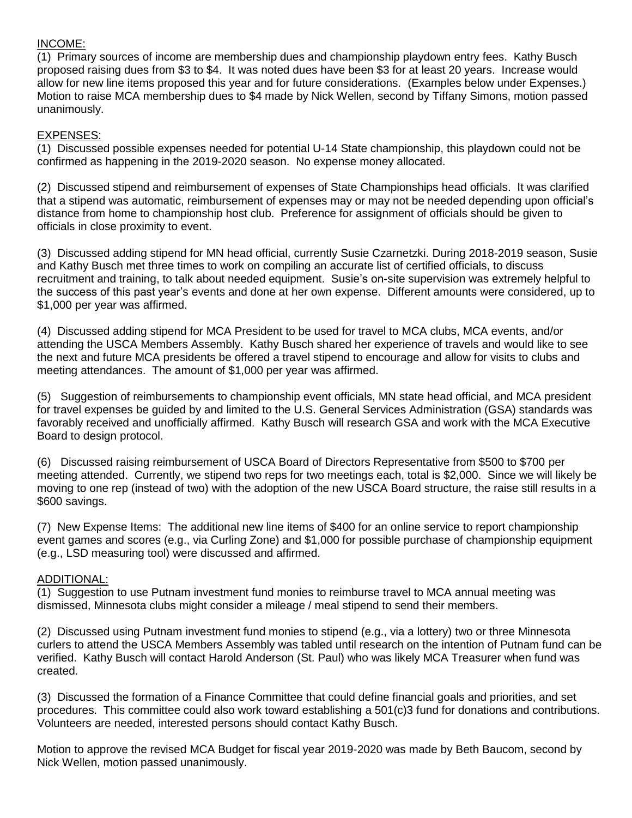#### INCOME:

(1) Primary sources of income are membership dues and championship playdown entry fees. Kathy Busch proposed raising dues from \$3 to \$4. It was noted dues have been \$3 for at least 20 years. Increase would allow for new line items proposed this year and for future considerations. (Examples below under Expenses.) Motion to raise MCA membership dues to \$4 made by Nick Wellen, second by Tiffany Simons, motion passed unanimously.

## EXPENSES:

(1) Discussed possible expenses needed for potential U-14 State championship, this playdown could not be confirmed as happening in the 2019-2020 season. No expense money allocated.

(2) Discussed stipend and reimbursement of expenses of State Championships head officials. It was clarified that a stipend was automatic, reimbursement of expenses may or may not be needed depending upon official's distance from home to championship host club. Preference for assignment of officials should be given to officials in close proximity to event.

(3) Discussed adding stipend for MN head official, currently Susie Czarnetzki. During 2018-2019 season, Susie and Kathy Busch met three times to work on compiling an accurate list of certified officials, to discuss recruitment and training, to talk about needed equipment. Susie's on-site supervision was extremely helpful to the success of this past year's events and done at her own expense. Different amounts were considered, up to \$1,000 per year was affirmed.

(4) Discussed adding stipend for MCA President to be used for travel to MCA clubs, MCA events, and/or attending the USCA Members Assembly. Kathy Busch shared her experience of travels and would like to see the next and future MCA presidents be offered a travel stipend to encourage and allow for visits to clubs and meeting attendances. The amount of \$1,000 per year was affirmed.

(5) Suggestion of reimbursements to championship event officials, MN state head official, and MCA president for travel expenses be guided by and limited to the U.S. General Services Administration (GSA) standards was favorably received and unofficially affirmed. Kathy Busch will research GSA and work with the MCA Executive Board to design protocol.

(6) Discussed raising reimbursement of USCA Board of Directors Representative from \$500 to \$700 per meeting attended. Currently, we stipend two reps for two meetings each, total is \$2,000. Since we will likely be moving to one rep (instead of two) with the adoption of the new USCA Board structure, the raise still results in a \$600 savings.

(7) New Expense Items: The additional new line items of \$400 for an online service to report championship event games and scores (e.g., via Curling Zone) and \$1,000 for possible purchase of championship equipment (e.g., LSD measuring tool) were discussed and affirmed.

### ADDITIONAL:

(1) Suggestion to use Putnam investment fund monies to reimburse travel to MCA annual meeting was dismissed, Minnesota clubs might consider a mileage / meal stipend to send their members.

(2) Discussed using Putnam investment fund monies to stipend (e.g., via a lottery) two or three Minnesota curlers to attend the USCA Members Assembly was tabled until research on the intention of Putnam fund can be verified. Kathy Busch will contact Harold Anderson (St. Paul) who was likely MCA Treasurer when fund was created.

(3) Discussed the formation of a Finance Committee that could define financial goals and priorities, and set procedures. This committee could also work toward establishing a 501(c)3 fund for donations and contributions. Volunteers are needed, interested persons should contact Kathy Busch.

Motion to approve the revised MCA Budget for fiscal year 2019-2020 was made by Beth Baucom, second by Nick Wellen, motion passed unanimously.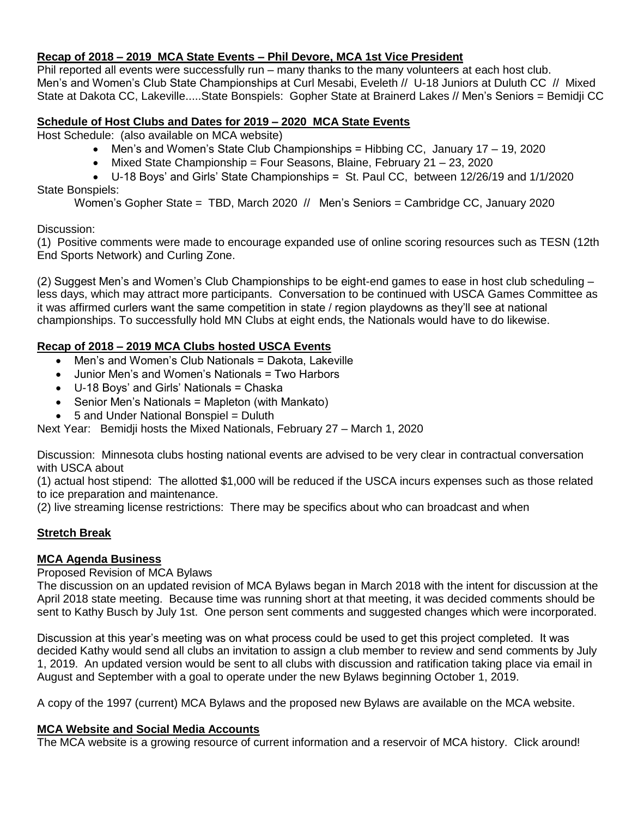## **Recap of 2018 – 2019 MCA State Events – Phil Devore, MCA 1st Vice President**

Phil reported all events were successfully run – many thanks to the many volunteers at each host club. Men's and Women's Club State Championships at Curl Mesabi, Eveleth // U-18 Juniors at Duluth CC // Mixed State at Dakota CC, Lakeville.....State Bonspiels: Gopher State at Brainerd Lakes // Men's Seniors = Bemidji CC

## **Schedule of Host Clubs and Dates for 2019 – 2020 MCA State Events**

Host Schedule: (also available on MCA website)

- Men's and Women's State Club Championships = Hibbing CC, January 17 19, 2020
- $\bullet$  Mixed State Championship = Four Seasons, Blaine, February 21 23, 2020

 U-18 Boys' and Girls' State Championships = St. Paul CC, between 12/26/19 and 1/1/2020 State Bonspiels:

Women's Gopher State = TBD, March 2020 // Men's Seniors = Cambridge CC, January 2020

Discussion:

(1) Positive comments were made to encourage expanded use of online scoring resources such as TESN (12th End Sports Network) and Curling Zone.

(2) Suggest Men's and Women's Club Championships to be eight-end games to ease in host club scheduling – less days, which may attract more participants. Conversation to be continued with USCA Games Committee as it was affirmed curlers want the same competition in state / region playdowns as they'll see at national championships. To successfully hold MN Clubs at eight ends, the Nationals would have to do likewise.

# **Recap of 2018 – 2019 MCA Clubs hosted USCA Events**

- Men's and Women's Club Nationals = Dakota, Lakeville
- Junior Men's and Women's Nationals = Two Harbors
- U-18 Boys' and Girls' Nationals = Chaska
- Senior Men's Nationals = Mapleton (with Mankato)
- 5 and Under National Bonspiel = Duluth

Next Year: Bemidji hosts the Mixed Nationals, February 27 – March 1, 2020

Discussion: Minnesota clubs hosting national events are advised to be very clear in contractual conversation with USCA about

(1) actual host stipend: The allotted \$1,000 will be reduced if the USCA incurs expenses such as those related to ice preparation and maintenance.

(2) live streaming license restrictions: There may be specifics about who can broadcast and when

# **Stretch Break**

### **MCA Agenda Business**

Proposed Revision of MCA Bylaws

The discussion on an updated revision of MCA Bylaws began in March 2018 with the intent for discussion at the April 2018 state meeting. Because time was running short at that meeting, it was decided comments should be sent to Kathy Busch by July 1st. One person sent comments and suggested changes which were incorporated.

Discussion at this year's meeting was on what process could be used to get this project completed. It was decided Kathy would send all clubs an invitation to assign a club member to review and send comments by July 1, 2019. An updated version would be sent to all clubs with discussion and ratification taking place via email in August and September with a goal to operate under the new Bylaws beginning October 1, 2019.

A copy of the 1997 (current) MCA Bylaws and the proposed new Bylaws are available on the MCA website.

### **MCA Website and Social Media Accounts**

The MCA website is a growing resource of current information and a reservoir of MCA history. Click around!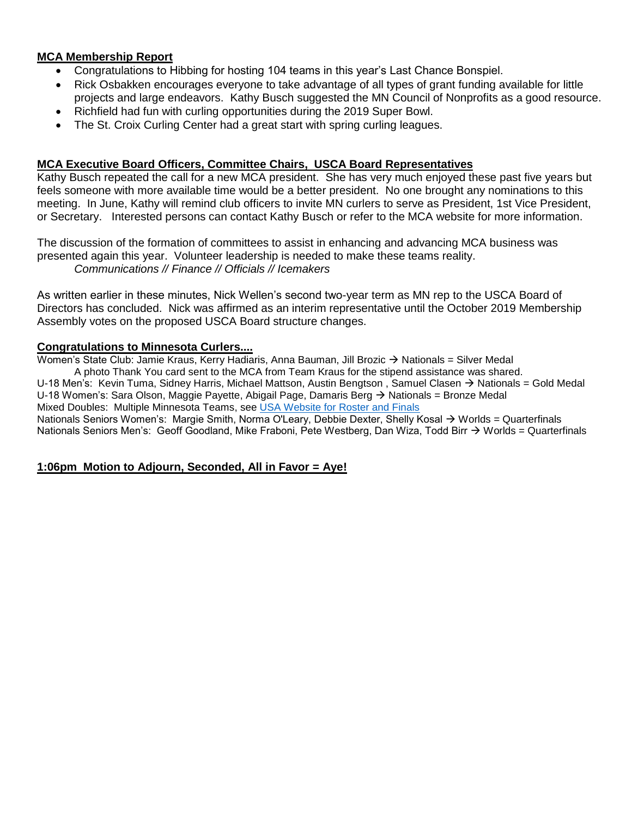## **MCA Membership Report**

- Congratulations to Hibbing for hosting 104 teams in this year's Last Chance Bonspiel.
- Rick Osbakken encourages everyone to take advantage of all types of grant funding available for little projects and large endeavors. Kathy Busch suggested the MN Council of Nonprofits as a good resource.
- Richfield had fun with curling opportunities during the 2019 Super Bowl.
- The St. Croix Curling Center had a great start with spring curling leagues.

## **MCA Executive Board Officers, Committee Chairs, USCA Board Representatives**

Kathy Busch repeated the call for a new MCA president. She has very much enjoyed these past five years but feels someone with more available time would be a better president. No one brought any nominations to this meeting. In June, Kathy will remind club officers to invite MN curlers to serve as President, 1st Vice President, or Secretary. Interested persons can contact Kathy Busch or refer to the MCA website for more information.

The discussion of the formation of committees to assist in enhancing and advancing MCA business was presented again this year. Volunteer leadership is needed to make these teams reality. *Communications // Finance // Officials // Icemakers*

As written earlier in these minutes, Nick Wellen's second two-year term as MN rep to the USCA Board of Directors has concluded. Nick was affirmed as an interim representative until the October 2019 Membership Assembly votes on the proposed USCA Board structure changes.

### **Congratulations to Minnesota Curlers....**

Women's State Club: Jamie Kraus, Kerry Hadiaris, Anna Bauman, Jill Brozic  $\rightarrow$  Nationals = Silver Medal A photo Thank You card sent to the MCA from Team Kraus for the stipend assistance was shared. U-18 Men's: Kevin Tuma, Sidney Harris, Michael Mattson, Austin Bengtson, Samuel Clasen  $\rightarrow$  Nationals = Gold Medal U-18 Women's: Sara Olson, Maggie Payette, Abigail Page, Damaris Berg  $\rightarrow$  Nationals = Bronze Medal Mixed Doubles: Multiple Minnesota Teams, see [USA Website for Roster and Finals](http://events.curlingzone.com/index.php?task=Event&eventid=5799&skin=2&view=Round-Robin) Nationals Seniors Women's: Margie Smith, Norma O'Leary, Debbie Dexter, Shelly Kosal → Worlds = Quarterfinals Nationals Seniors Men's: Geoff Goodland, Mike Fraboni, Pete Westberg, Dan Wiza, Todd Birr → Worlds = Quarterfinals

### **1:06pm Motion to Adjourn, Seconded, All in Favor = Aye!**